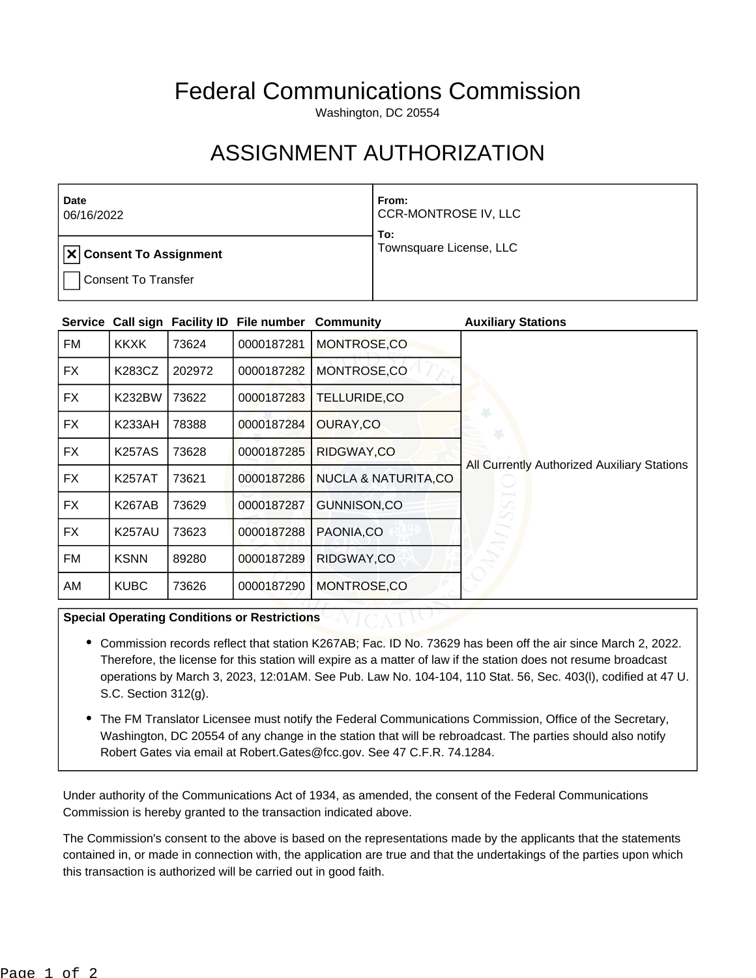## Federal Communications Commission

Washington, DC 20554

## ASSIGNMENT AUTHORIZATION

| Date<br>06/16/2022                     | From:<br>CCR-MONTROSE IV, LLC<br>To: |
|----------------------------------------|--------------------------------------|
| $  \mathbf{x}  $ Consent To Assignment | Townsquare License, LLC              |
| <b>Consent To Transfer</b>             |                                      |

| <b>Service</b> |               |        | Call sign Facility ID File number | Community                      | <b>Auxiliary Stations</b>                   |
|----------------|---------------|--------|-----------------------------------|--------------------------------|---------------------------------------------|
| FM             | <b>KKXK</b>   | 73624  | 0000187281                        | MONTROSE,CO                    |                                             |
| FX             | K283CZ        | 202972 | 0000187282                        | MONTROSE,CO                    |                                             |
| FX.            | <b>K232BW</b> | 73622  | 0000187283                        | TELLURIDE,CO                   |                                             |
| FX             | <b>K233AH</b> | 78388  | 0000187284                        | OURAY,CO                       |                                             |
| FX             | <b>K257AS</b> | 73628  | 0000187285                        | RIDGWAY,CO                     |                                             |
| <b>FX</b>      | <b>K257AT</b> | 73621  | 0000187286                        | <b>NUCLA &amp; NATURITA,CO</b> | All Currently Authorized Auxiliary Stations |
| FX             | <b>K267AB</b> | 73629  | 0000187287                        | GUNNISON,CO                    |                                             |
| <b>FX</b>      | <b>K257AU</b> | 73623  | 0000187288                        | PAONIA.CO                      |                                             |
| FM             | <b>KSNN</b>   | 89280  | 0000187289                        | RIDGWAY,CO                     |                                             |
| AM             | <b>KUBC</b>   | 73626  | 0000187290                        | MONTROSE,CO                    |                                             |

## **Special Operating Conditions or Restrictions**

- Commission records reflect that station K267AB; Fac. ID No. 73629 has been off the air since March 2, 2022. Therefore, the license for this station will expire as a matter of law if the station does not resume broadcast operations by March 3, 2023, 12:01AM. See Pub. Law No. 104-104, 110 Stat. 56, Sec. 403(l), codified at 47 U. S.C. Section 312(g).
- The FM Translator Licensee must notify the Federal Communications Commission, Office of the Secretary, Washington, DC 20554 of any change in the station that will be rebroadcast. The parties should also notify Robert Gates via email at Robert.Gates@fcc.gov. See 47 C.F.R. 74.1284.

Under authority of the Communications Act of 1934, as amended, the consent of the Federal Communications Commission is hereby granted to the transaction indicated above.

The Commission's consent to the above is based on the representations made by the applicants that the statements contained in, or made in connection with, the application are true and that the undertakings of the parties upon which this transaction is authorized will be carried out in good faith.